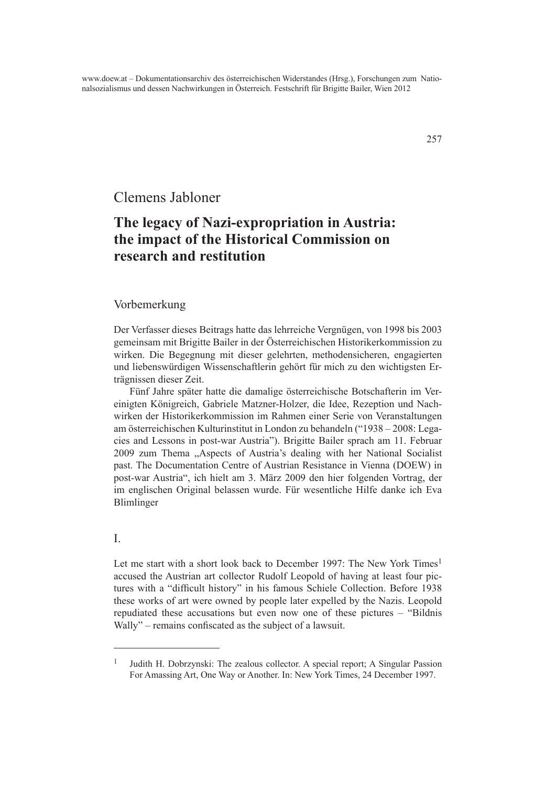# Clemens Jabloner

# **The legacy of Nazi-expropriation in Austria: the impact of the Historical Commission on research and restitution**

## Vorbemerkung

Der Verfasser dieses Beitrags hatte das lehrreiche Vergnügen, von 1998 bis 2003 gemeinsam mit Brigitte Bailer in der Österreichischen Historikerkommission zu wirken. Die Begegnung mit dieser gelehrten, methodensicheren, engagierten und liebenswürdigen Wissenschaftlerin gehört für mich zu den wichtigsten Erträgnissen dieser Zeit.

Fünf Jahre später hatte die damalige österreichische Botschafterin im Vereinigten Königreich, Gabriele Matzner-Holzer, die Idee, Rezeption und Nachwirken der Historikerkommission im Rahmen einer Serie von Veranstaltungen am österreichischen Kulturinstitut in London zu behandeln ("1938 – 2008: Legacies and Lessons in post-war Austria"). Brigitte Bailer sprach am 11. Februar 2009 zum Thema "Aspects of Austria's dealing with her National Socialist past. The Documentation Centre of Austrian Resistance in Vienna (DOEW) in post-war Austria", ich hielt am 3. März 2009 den hier folgenden Vortrag, der im englischen Original belassen wurde. Für wesentliche Hilfe danke ich Eva Blimlinger

## I.

Let me start with a short look back to December 1997: The New York Times<sup>1</sup> accused the Austrian art collector Rudolf Leopold of having at least four pictures with a "difficult history" in his famous Schiele Collection. Before 1938 these works of art were owned by people later expelled by the Nazis. Leopold repudiated these accusations but even now one of these pictures – "Bildnis Wally" – remains confiscated as the subject of a lawsuit.

<sup>1</sup> Judith H. Dobrzynski: The zealous collector. A special report; A Singular Passion For Amassing Art, One Way or Another. In: New York Times, 24 December 1997.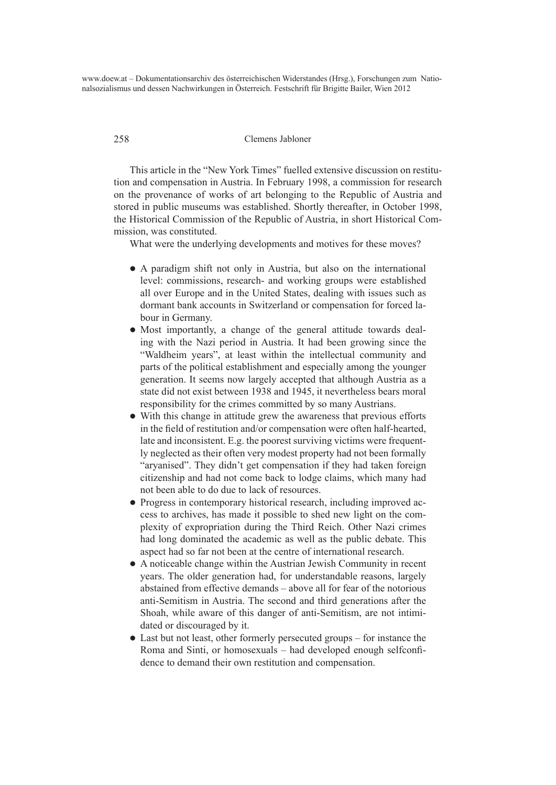#### 258 Clemens Jabloner

This article in the "New York Times" fuelled extensive discussion on restitution and compensation in Austria. In February 1998, a commission for research on the provenance of works of art belonging to the Republic of Austria and stored in public museums was established. Shortly thereafter, in October 1998, the Historical Commission of the Republic of Austria, in short Historical Commission, was constituted.

What were the underlying developments and motives for these moves?

- A paradigm shift not only in Austria, but also on the international level: commissions, research- and working groups were established all over Europe and in the United States, dealing with issues such as dormant bank accounts in Switzerland or compensation for forced labour in Germany.
- Most importantly, a change of the general attitude towards dealing with the Nazi period in Austria. It had been growing since the "Waldheim years", at least within the intellectual community and parts of the political establishment and especially among the younger generation. It seems now largely accepted that although Austria as a state did not exist between 1938 and 1945, it nevertheless bears moral responsibility for the crimes committed by so many Austrians.
- With this change in attitude grew the awareness that previous efforts in the field of restitution and/or compensation were often half-hearted, late and inconsistent. E.g. the poorest surviving victims were frequently neglected as their often very modest property had not been formally "aryanised". They didn't get compensation if they had taken foreign citizenship and had not come back to lodge claims, which many had not been able to do due to lack of resources.
- Progress in contemporary historical research, including improved access to archives, has made it possible to shed new light on the complexity of expropriation during the Third Reich. Other Nazi crimes had long dominated the academic as well as the public debate. This aspect had so far not been at the centre of international research.
- l A noticeable change within the Austrian Jewish Community in recent years. The older generation had, for understandable reasons, largely abstained from effective demands – above all for fear of the notorious anti-Semitism in Austria. The second and third generations after the Shoah, while aware of this danger of anti-Semitism, are not intimidated or discouraged by it.
- $\bullet$  Last but not least, other formerly persecuted groups for instance the Roma and Sinti, or homosexuals – had developed enough selfconfidence to demand their own restitution and compensation.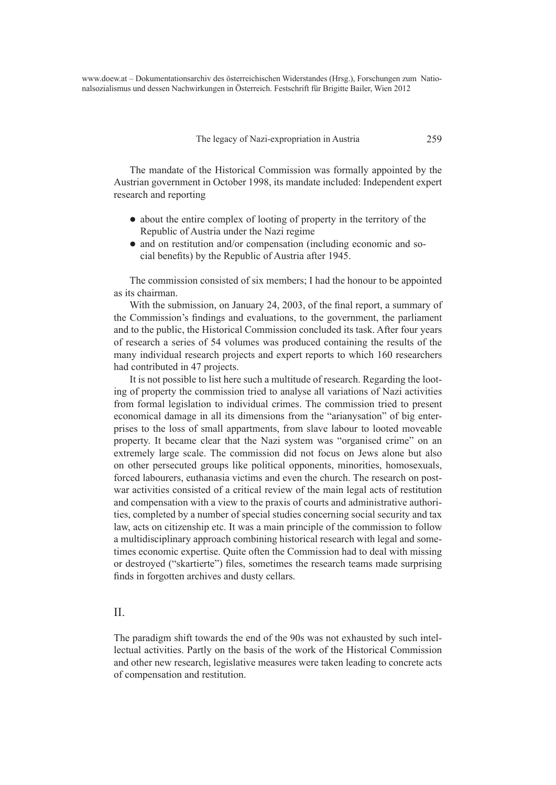The legacy of Nazi-expropriation in Austria 259

The mandate of the Historical Commission was formally appointed by the Austrian government in October 1998, its mandate included: Independent expert research and reporting

- about the entire complex of looting of property in the territory of the Republic of Austria under the Nazi regime
- and on restitution and/or compensation (including economic and social benefits) by the Republic of Austria after 1945.

The commission consisted of six members; I had the honour to be appointed as its chairman.

With the submission, on January 24, 2003, of the final report, a summary of the Commission's findings and evaluations, to the government, the parliament and to the public, the Historical Commission concluded its task. After four years of research a series of 54 volumes was produced containing the results of the many individual research projects and expert reports to which 160 researchers had contributed in 47 projects.

It is not possible to list here such a multitude of research. Regarding the looting of property the commission tried to analyse all variations of Nazi activities from formal legislation to individual crimes. The commission tried to present economical damage in all its dimensions from the "arianysation" of big enterprises to the loss of small appartments, from slave labour to looted moveable property. It became clear that the Nazi system was "organised crime" on an extremely large scale. The commission did not focus on Jews alone but also on other persecuted groups like political opponents, minorities, homosexuals, forced labourers, euthanasia victims and even the church. The research on postwar activities consisted of a critical review of the main legal acts of restitution and compensation with a view to the praxis of courts and administrative authorities, completed by a number of special studies concerning social security and tax law, acts on citizenship etc. It was a main principle of the commission to follow a multidisciplinary approach combining historical research with legal and sometimes economic expertise. Quite often the Commission had to deal with missing or destroyed ("skartierte") files, sometimes the research teams made surprising finds in forgotten archives and dusty cellars.

## $II$ .

The paradigm shift towards the end of the 90s was not exhausted by such intellectual activities. Partly on the basis of the work of the Historical Commission and other new research, legislative measures were taken leading to concrete acts of compensation and restitution.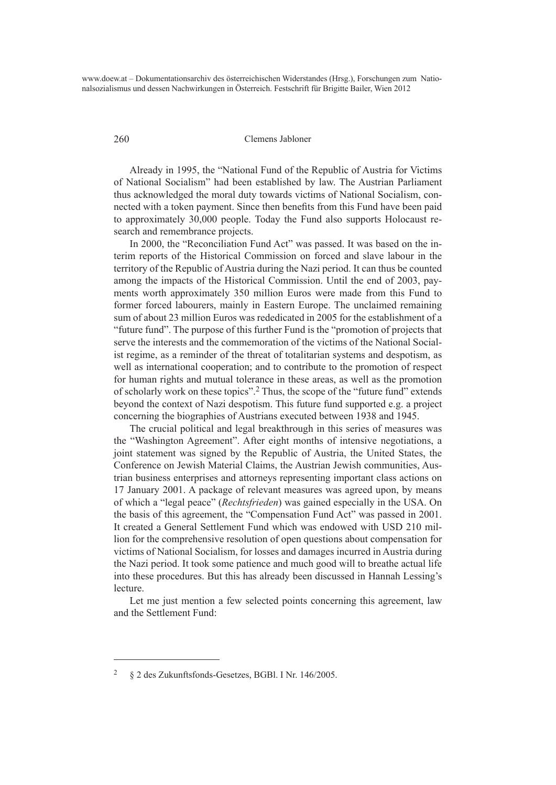#### 260 Clemens Jabloner

Already in 1995, the "National Fund of the Republic of Austria for Victims of National Socialism" had been established by law. The Austrian Parliament thus acknowledged the moral duty towards victims of National Socialism, connected with a token payment. Since then benefits from this Fund have been paid to approximately 30,000 people. Today the Fund also supports Holocaust research and remembrance projects.

In 2000, the "Reconciliation Fund Act" was passed. It was based on the interim reports of the Historical Commission on forced and slave labour in the territory of the Republic of Austria during the Nazi period. It can thus be counted among the impacts of the Historical Commission. Until the end of 2003, payments worth approximately 350 million Euros were made from this Fund to former forced labourers, mainly in Eastern Europe. The unclaimed remaining sum of about 23 million Euros was rededicated in 2005 for the establishment of a "future fund". The purpose of this further Fund is the "promotion of projects that serve the interests and the commemoration of the victims of the National Socialist regime, as a reminder of the threat of totalitarian systems and despotism, as well as international cooperation; and to contribute to the promotion of respect for human rights and mutual tolerance in these areas, as well as the promotion of scholarly work on these topics".2 Thus, the scope of the "future fund" extends beyond the context of Nazi despotism. This future fund supported e.g. a project concerning the biographies of Austrians executed between 1938 and 1945.

The crucial political and legal breakthrough in this series of measures was the "Washington Agreement". After eight months of intensive negotiations, a joint statement was signed by the Republic of Austria, the United States, the Conference on Jewish Material Claims, the Austrian Jewish communities, Austrian business enterprises and attorneys representing important class actions on 17 January 2001. A package of relevant measures was agreed upon, by means of which a "legal peace" (*Rechtsfrieden*) was gained especially in the USA. On the basis of this agreement, the "Compensation Fund Act" was passed in 2001. It created a General Settlement Fund which was endowed with USD 210 million for the comprehensive resolution of open questions about compensation for victims of National Socialism, for losses and damages incurred in Austria during the Nazi period. It took some patience and much good will to breathe actual life into these procedures. But this has already been discussed in Hannah Lessing's lecture.

Let me just mention a few selected points concerning this agreement, law and the Settlement Fund:

<sup>2</sup> § 2 des Zukunftsfonds-Gesetzes, BGBl. I Nr. 146/2005.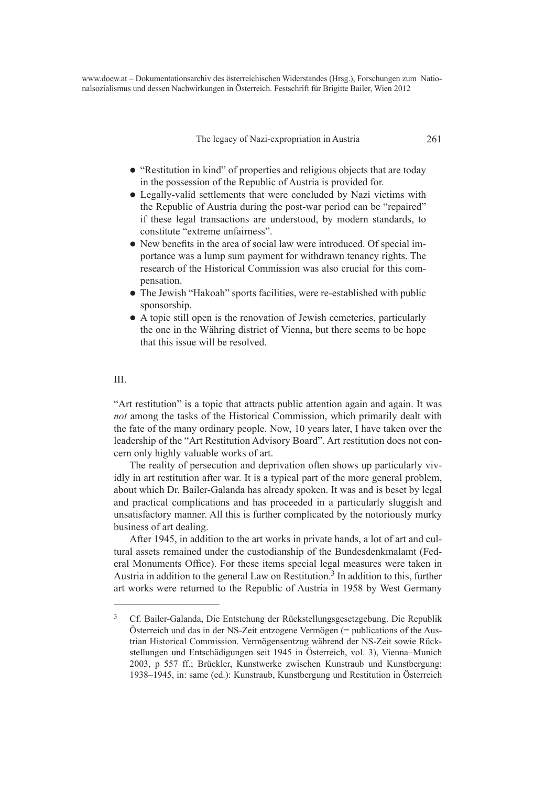The legacy of Nazi-expropriation in Austria 261

- "Restitution in kind" of properties and religious objects that are today in the possession of the Republic of Austria is provided for.
- Legally-valid settlements that were concluded by Nazi victims with the Republic of Austria during the post-war period can be "repaired" if these legal transactions are understood, by modern standards, to constitute "extreme unfairness".
- l New benefits in the area of social law were introduced. Of special importance was a lump sum payment for withdrawn tenancy rights. The research of the Historical Commission was also crucial for this compensation.
- The Jewish "Hakoah" sports facilities, were re-established with public sponsorship.
- A topic still open is the renovation of Jewish cemeteries, particularly the one in the Währing district of Vienna, but there seems to be hope that this issue will be resolved.

#### III.

"Art restitution" is a topic that attracts public attention again and again. It was *not* among the tasks of the Historical Commission, which primarily dealt with the fate of the many ordinary people. Now, 10 years later, I have taken over the leadership of the "Art Restitution Advisory Board". Art restitution does not concern only highly valuable works of art.

The reality of persecution and deprivation often shows up particularly vividly in art restitution after war. It is a typical part of the more general problem, about which Dr. Bailer-Galanda has already spoken. It was and is beset by legal and practical complications and has proceeded in a particularly sluggish and unsatisfactory manner. All this is further complicated by the notoriously murky business of art dealing.

After 1945, in addition to the art works in private hands, a lot of art and cultural assets remained under the custodianship of the Bundesdenkmalamt (Federal Monuments Office). For these items special legal measures were taken in Austria in addition to the general Law on Restitution.<sup>3</sup> In addition to this, further art works were returned to the Republic of Austria in 1958 by West Germany

<sup>3</sup> Cf. Bailer-Galanda, Die Entstehung der Rückstellungsgesetzgebung. Die Republik Österreich und das in der NS-Zeit entzogene Vermögen (= publications of the Austrian Historical Commission. Vermögensentzug während der NS-Zeit sowie Rückstellungen und Entschädigungen seit 1945 in Österreich, vol. 3), Vienna–Munich 2003, p 557 ff.; Brückler, Kunstwerke zwischen Kunstraub und Kunstbergung: 1938–1945, in: same (ed.): Kunstraub, Kunstbergung und Restitution in Österreich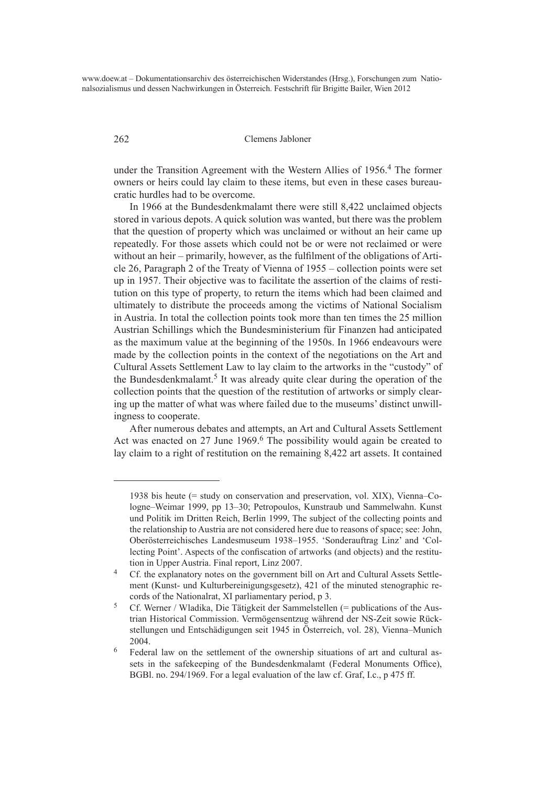#### 262 Clemens Jabloner

under the Transition Agreement with the Western Allies of 1956.<sup>4</sup> The former owners or heirs could lay claim to these items, but even in these cases bureaucratic hurdles had to be overcome.

In 1966 at the Bundesdenkmalamt there were still 8,422 unclaimed objects stored in various depots. A quick solution was wanted, but there was the problem that the question of property which was unclaimed or without an heir came up repeatedly. For those assets which could not be or were not reclaimed or were without an heir – primarily, however, as the fulfilment of the obligations of Article 26, Paragraph 2 of the Treaty of Vienna of 1955 – collection points were set up in 1957. Their objective was to facilitate the assertion of the claims of restitution on this type of property, to return the items which had been claimed and ultimately to distribute the proceeds among the victims of National Socialism in Austria. In total the collection points took more than ten times the 25 million Austrian Schillings which the Bundesministerium für Finanzen had anticipated as the maximum value at the beginning of the 1950s. In 1966 endeavours were made by the collection points in the context of the negotiations on the Art and Cultural Assets Settlement Law to lay claim to the artworks in the "custody" of the Bundesdenkmalamt.<sup>5</sup> It was already quite clear during the operation of the collection points that the question of the restitution of artworks or simply clearing up the matter of what was where failed due to the museums' distinct unwillingness to cooperate.

After numerous debates and attempts, an Art and Cultural Assets Settlement Act was enacted on 27 June 1969.<sup>6</sup> The possibility would again be created to lay claim to a right of restitution on the remaining 8,422 art assets. It contained

<sup>1938</sup> bis heute (= study on conservation and preservation, vol. XIX), Vienna–Cologne–Weimar 1999, pp 13–30; Petropoulos, Kunstraub und Sammelwahn. Kunst und Politik im Dritten Reich, Berlin 1999, The subject of the collecting points and the relationship to Austria are not considered here due to reasons of space; see: John, Oberösterreichisches Landesmuseum 1938–1955. 'Sonderauftrag Linz' and 'Collecting Point'. Aspects of the confiscation of artworks (and objects) and the restitution in Upper Austria. Final report, Linz 2007.

<sup>&</sup>lt;sup>4</sup> Cf. the explanatory notes on the government bill on Art and Cultural Assets Settlement (Kunst- und Kulturbereinigungsgesetz), 421 of the minuted stenographic records of the Nationalrat, XI parliamentary period, p 3.

<sup>5</sup> Cf. Werner / Wladika, Die Tätigkeit der Sammelstellen (= publications of the Austrian Historical Commission. Vermögensentzug während der NS-Zeit sowie Rückstellungen und Entschädigungen seit 1945 in Österreich, vol. 28), Vienna–Munich 2004.

<sup>6</sup> Federal law on the settlement of the ownership situations of art and cultural assets in the safekeeping of the Bundesdenkmalamt (Federal Monuments Office), BGBl. no. 294/1969. For a legal evaluation of the law cf. Graf, I.c., p 475 ff.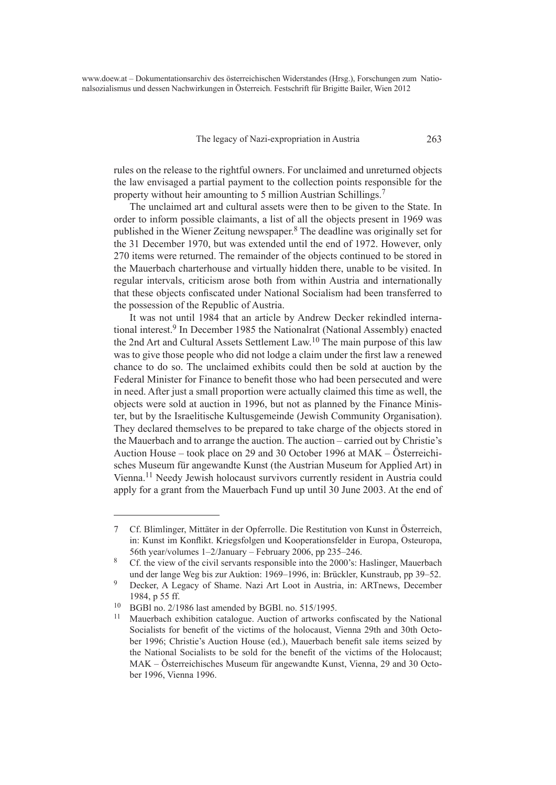#### The legacy of Nazi-expropriation in Austria 263

rules on the release to the rightful owners. For unclaimed and unreturned objects the law envisaged a partial payment to the collection points responsible for the property without heir amounting to 5 million Austrian Schillings.7

The unclaimed art and cultural assets were then to be given to the State. In order to inform possible claimants, a list of all the objects present in 1969 was published in the Wiener Zeitung newspaper.8 The deadline was originally set for the 31 December 1970, but was extended until the end of 1972. However, only 270 items were returned. The remainder of the objects continued to be stored in the Mauerbach charterhouse and virtually hidden there, unable to be visited. In regular intervals, criticism arose both from within Austria and internationally that these objects confiscated under National Socialism had been transferred to the possession of the Republic of Austria.

It was not until 1984 that an article by Andrew Decker rekindled international interest.9 In December 1985 the Nationalrat (National Assembly) enacted the 2nd Art and Cultural Assets Settlement Law.10 The main purpose of this law was to give those people who did not lodge a claim under the first law a renewed chance to do so. The unclaimed exhibits could then be sold at auction by the Federal Minister for Finance to benefit those who had been persecuted and were in need. After just a small proportion were actually claimed this time as well, the objects were sold at auction in 1996, but not as planned by the Finance Minister, but by the Israelitische Kultusgemeinde (Jewish Community Organisation). They declared themselves to be prepared to take charge of the objects stored in the Mauerbach and to arrange the auction. The auction – carried out by Christie's Auction House – took place on 29 and 30 October 1996 at MAK – Österreichisches Museum für angewandte Kunst (the Austrian Museum for Applied Art) in Vienna.11 Needy Jewish holocaust survivors currently resident in Austria could apply for a grant from the Mauerbach Fund up until 30 June 2003. At the end of

<sup>7</sup> Cf. Blimlinger, Mittäter in der Opferrolle. Die Restitution von Kunst in Österreich, in: Kunst im Konflikt. Kriegsfolgen und Kooperationsfelder in Europa, Osteuropa, 56th year/volumes 1–2/January – February 2006, pp 235–246.

<sup>8</sup> Cf. the view of the civil servants responsible into the 2000's: Haslinger, Mauerbach und der lange Weg bis zur Auktion: 1969–1996, in: Brückler, Kunstraub, pp 39–52.

<sup>9</sup> Decker, A Legacy of Shame. Nazi Art Loot in Austria, in: ARTnews, December 1984, p 55 ff.

<sup>&</sup>lt;sup>10</sup> BGBl no. 2/1986 last amended by BGBl. no. 515/1995.

<sup>11</sup> Mauerbach exhibition catalogue. Auction of artworks confiscated by the National Socialists for benefit of the victims of the holocaust, Vienna 29th and 30th October 1996; Christie's Auction House (ed.), Mauerbach benefit sale items seized by the National Socialists to be sold for the benefit of the victims of the Holocaust; MAK – Österreichisches Museum für angewandte Kunst, Vienna, 29 and 30 October 1996, Vienna 1996.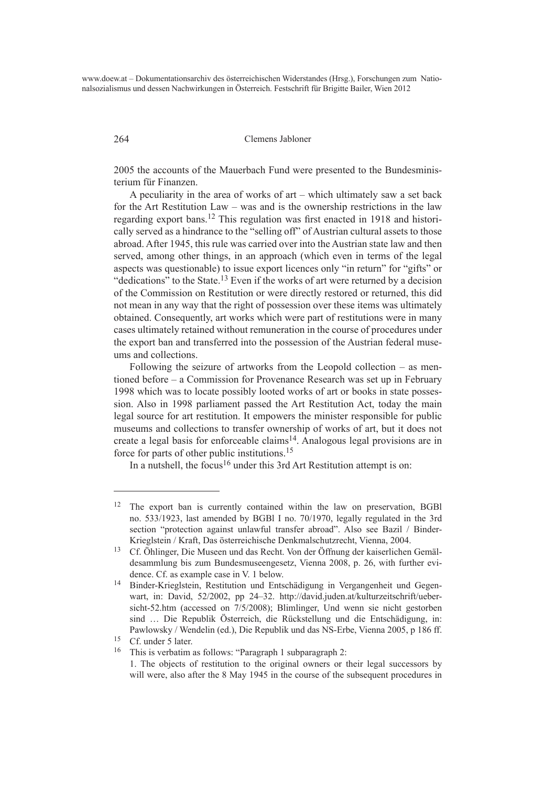#### 264 Clemens Jabloner

2005 the accounts of the Mauerbach Fund were presented to the Bundesministerium für Finanzen.

A peculiarity in the area of works of art – which ultimately saw a set back for the Art Restitution Law – was and is the ownership restrictions in the law regarding export bans.12 This regulation was first enacted in 1918 and historically served as a hindrance to the "selling off" of Austrian cultural assets to those abroad. After 1945, this rule was carried over into the Austrian state law and then served, among other things, in an approach (which even in terms of the legal aspects was questionable) to issue export licences only "in return" for "gifts" or "dedications" to the State.<sup>13</sup> Even if the works of art were returned by a decision of the Commission on Restitution or were directly restored or returned, this did not mean in any way that the right of possession over these items was ultimately obtained. Consequently, art works which were part of restitutions were in many cases ultimately retained without remuneration in the course of procedures under the export ban and transferred into the possession of the Austrian federal museums and collections.

Following the seizure of artworks from the Leopold collection – as mentioned before – a Commission for Provenance Research was set up in February 1998 which was to locate possibly looted works of art or books in state possession. Also in 1998 parliament passed the Art Restitution Act, today the main legal source for art restitution. It empowers the minister responsible for public museums and collections to transfer ownership of works of art, but it does not create a legal basis for enforceable claims<sup>14</sup>. Analogous legal provisions are in force for parts of other public institutions.15

In a nutshell, the focus<sup>16</sup> under this 3rd Art Restitution attempt is on:

<sup>12</sup> The export ban is currently contained within the law on preservation, BGBl no. 533/1923, last amended by BGBl I no. 70/1970, legally regulated in the 3rd section "protection against unlawful transfer abroad". Also see Bazil / Binder-Krieglstein / Kraft, Das österreichische Denkmalschutzrecht, Vienna, 2004.

<sup>13</sup> Cf. Öhlinger, Die Museen und das Recht. Von der Öffnung der kaiserlichen Gemäldesammlung bis zum Bundesmuseengesetz, Vienna 2008, p. 26, with further evidence. Cf. as example case in V. 1 below.

<sup>14</sup> Binder-Krieglstein, Restitution und Entschädigung in Vergangenheit und Gegenwart, in: David, 52/2002, pp 24–32. http://david.juden.at/kulturzeitschrift/uebersicht-52.htm (accessed on 7/5/2008); Blimlinger, Und wenn sie nicht gestorben sind … Die Republik Österreich, die Rückstellung und die Entschädigung, in: Pawlowsky / Wendelin (ed.), Die Republik und das NS-Erbe, Vienna 2005, p 186 ff.

<sup>15</sup> Cf. under 5 later.

<sup>16</sup> This is verbatim as follows: "Paragraph 1 subparagraph 2:

<sup>1.</sup> The objects of restitution to the original owners or their legal successors by will were, also after the 8 May 1945 in the course of the subsequent procedures in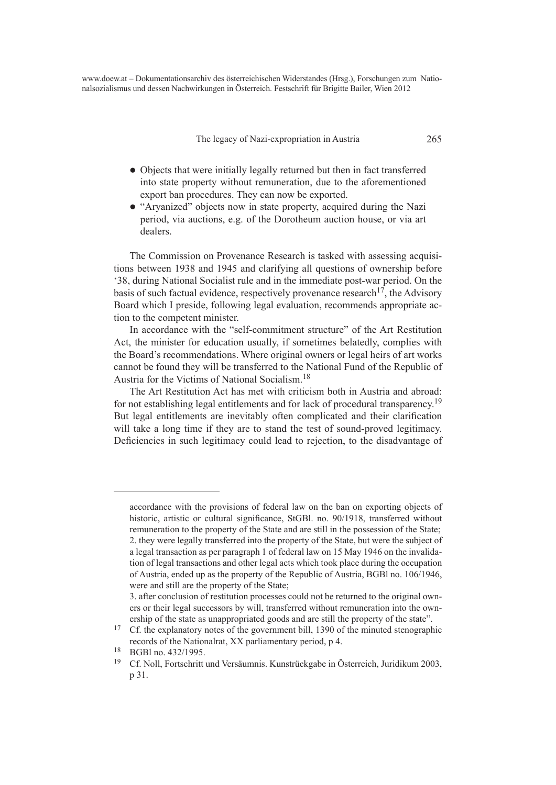The legacy of Nazi-expropriation in Austria 265

- Objects that were initially legally returned but then in fact transferred into state property without remuneration, due to the aforementioned export ban procedures. They can now be exported.
- "Aryanized" objects now in state property, acquired during the Nazi period, via auctions, e.g. of the Dorotheum auction house, or via art dealers.

The Commission on Provenance Research is tasked with assessing acquisitions between 1938 and 1945 and clarifying all questions of ownership before '38, during National Socialist rule and in the immediate post-war period. On the basis of such factual evidence, respectively provenance research<sup>17</sup>, the Advisory Board which I preside, following legal evaluation, recommends appropriate action to the competent minister.

In accordance with the "self-commitment structure" of the Art Restitution Act, the minister for education usually, if sometimes belatedly, complies with the Board's recommendations. Where original owners or legal heirs of art works cannot be found they will be transferred to the National Fund of the Republic of Austria for the Victims of National Socialism.18

The Art Restitution Act has met with criticism both in Austria and abroad: for not establishing legal entitlements and for lack of procedural transparency.<sup>19</sup> But legal entitlements are inevitably often complicated and their clarification will take a long time if they are to stand the test of sound-proved legitimacy. Deficiencies in such legitimacy could lead to rejection, to the disadvantage of

accordance with the provisions of federal law on the ban on exporting objects of historic, artistic or cultural significance, StGBl. no. 90/1918, transferred without remuneration to the property of the State and are still in the possession of the State; 2. they were legally transferred into the property of the State, but were the subject of a legal transaction as per paragraph 1 of federal law on 15 May 1946 on the invalidation of legal transactions and other legal acts which took place during the occupation of Austria, ended up as the property of the Republic of Austria, BGBl no. 106/1946, were and still are the property of the State;

<sup>3.</sup> after conclusion of restitution processes could not be returned to the original owners or their legal successors by will, transferred without remuneration into the ownership of the state as unappropriated goods and are still the property of the state".

<sup>&</sup>lt;sup>17</sup> Cf. the explanatory notes of the government bill, 1390 of the minuted stenographic records of the Nationalrat, XX parliamentary period, p 4.

 $^{18}$  BGBl no. 432/1995.<br> $^{19}$  Cf Noll Fortschritt

<sup>19</sup> Cf. Noll, Fortschritt und Versäumnis. Kunstrückgabe in Österreich, Juridikum 2003, p 31.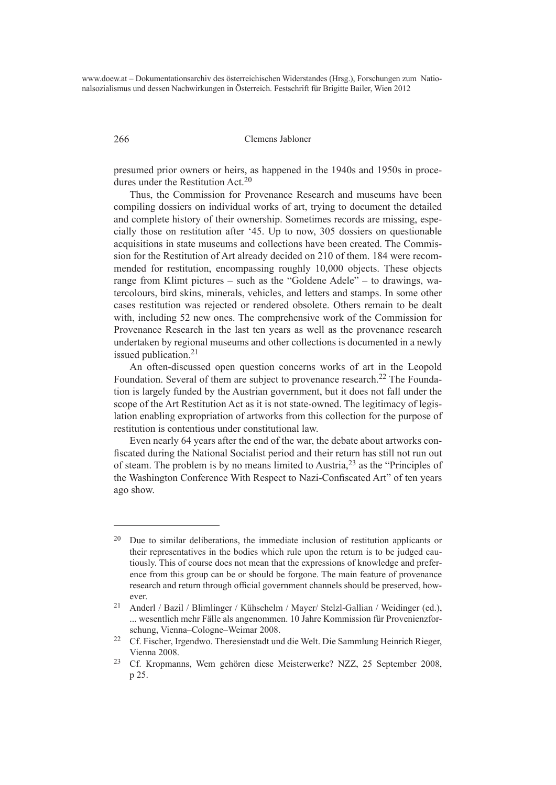266 Clemens Jabloner

presumed prior owners or heirs, as happened in the 1940s and 1950s in procedures under the Restitution Act.<sup>20</sup>

Thus, the Commission for Provenance Research and museums have been compiling dossiers on individual works of art, trying to document the detailed and complete history of their ownership. Sometimes records are missing, especially those on restitution after '45. Up to now, 305 dossiers on questionable acquisitions in state museums and collections have been created. The Commission for the Restitution of Art already decided on 210 of them. 184 were recommended for restitution, encompassing roughly 10,000 objects. These objects range from Klimt pictures – such as the "Goldene Adele" – to drawings, watercolours, bird skins, minerals, vehicles, and letters and stamps. In some other cases restitution was rejected or rendered obsolete. Others remain to be dealt with, including 52 new ones. The comprehensive work of the Commission for Provenance Research in the last ten years as well as the provenance research undertaken by regional museums and other collections is documented in a newly issued publication.21

An often-discussed open question concerns works of art in the Leopold Foundation. Several of them are subject to provenance research.<sup>22</sup> The Foundation is largely funded by the Austrian government, but it does not fall under the scope of the Art Restitution Act as it is not state-owned. The legitimacy of legislation enabling expropriation of artworks from this collection for the purpose of restitution is contentious under constitutional law.

Even nearly 64 years after the end of the war, the debate about artworks confiscated during the National Socialist period and their return has still not run out of steam. The problem is by no means limited to Austria,23 as the "Principles of the Washington Conference With Respect to Nazi-Confiscated Art" of ten years ago show.

<sup>20</sup> Due to similar deliberations, the immediate inclusion of restitution applicants or their representatives in the bodies which rule upon the return is to be judged cautiously. This of course does not mean that the expressions of knowledge and preference from this group can be or should be forgone. The main feature of provenance research and return through official government channels should be preserved, however.

<sup>21</sup> Anderl / Bazil / Blimlinger / Kühschelm / Mayer/ Stelzl-Gallian / Weidinger (ed.), ... wesentlich mehr Fälle als angenommen. 10 Jahre Kommission für Provenienzforschung, Vienna–Cologne–Weimar 2008.

<sup>22</sup> Cf. Fischer, Irgendwo. Theresienstadt und die Welt. Die Sammlung Heinrich Rieger, Vienna 2008.

<sup>23</sup> Cf. Kropmanns, Wem gehören diese Meisterwerke? NZZ, 25 September 2008, p 25.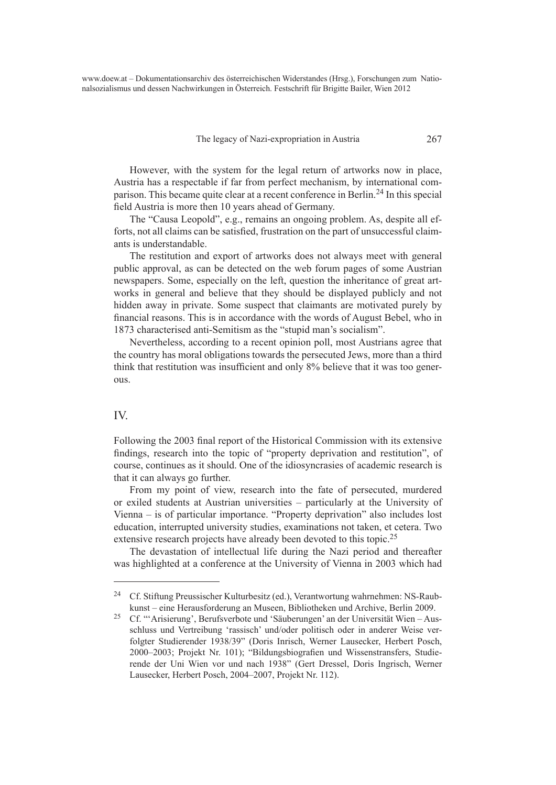#### The legacy of Nazi-expropriation in Austria 267

However, with the system for the legal return of artworks now in place, Austria has a respectable if far from perfect mechanism, by international comparison. This became quite clear at a recent conference in Berlin.24 In this special field Austria is more then 10 years ahead of Germany.

The "Causa Leopold", e.g., remains an ongoing problem. As, despite all efforts, not all claims can be satisfied, frustration on the part of unsuccessful claimants is understandable.

The restitution and export of artworks does not always meet with general public approval, as can be detected on the web forum pages of some Austrian newspapers. Some, especially on the left, question the inheritance of great artworks in general and believe that they should be displayed publicly and not hidden away in private. Some suspect that claimants are motivated purely by financial reasons. This is in accordance with the words of August Bebel, who in 1873 characterised anti-Semitism as the "stupid man's socialism".

Nevertheless, according to a recent opinion poll, most Austrians agree that the country has moral obligations towards the persecuted Jews, more than a third think that restitution was insufficient and only 8% believe that it was too generous.

## IV.

Following the 2003 final report of the Historical Commission with its extensive findings, research into the topic of "property deprivation and restitution", of course, continues as it should. One of the idiosyncrasies of academic research is that it can always go further.

From my point of view, research into the fate of persecuted, murdered or exiled students at Austrian universities – particularly at the University of Vienna – is of particular importance. "Property deprivation" also includes lost education, interrupted university studies, examinations not taken, et cetera. Two extensive research projects have already been devoted to this topic.<sup>25</sup>

The devastation of intellectual life during the Nazi period and thereafter was highlighted at a conference at the University of Vienna in 2003 which had

<sup>24</sup> Cf. Stiftung Preussischer Kulturbesitz (ed.), Verantwortung wahrnehmen: NS-Raubkunst – eine Herausforderung an Museen, Bibliotheken und Archive, Berlin 2009.

<sup>25</sup> Cf. "'Arisierung', Berufsverbote und 'Säuberungen' an der Universität Wien – Ausschluss und Vertreibung 'rassisch' und/oder politisch oder in anderer Weise verfolgter Studierender 1938/39" (Doris Inrisch, Werner Lausecker, Herbert Posch, 2000–2003; Projekt Nr. 101); "Bildungsbiografien und Wissenstransfers, Studierende der Uni Wien vor und nach 1938" (Gert Dressel, Doris Ingrisch, Werner Lausecker, Herbert Posch, 2004–2007, Projekt Nr. 112).